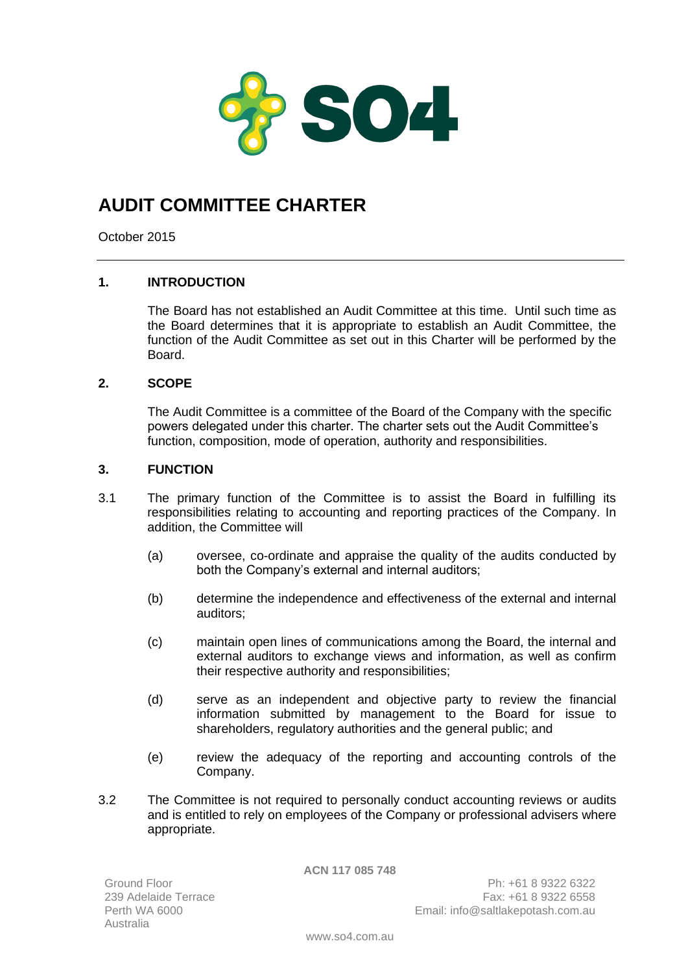

# **AUDIT COMMITTEE CHARTER**

October 2015

# **1. INTRODUCTION**

The Board has not established an Audit Committee at this time. Until such time as the Board determines that it is appropriate to establish an Audit Committee, the function of the Audit Committee as set out in this Charter will be performed by the Board.

# **2. SCOPE**

The Audit Committee is a committee of the Board of the Company with the specific powers delegated under this charter. The charter sets out the Audit Committee's function, composition, mode of operation, authority and responsibilities.

## **3. FUNCTION**

- 3.1 The primary function of the Committee is to assist the Board in fulfilling its responsibilities relating to accounting and reporting practices of the Company. In addition, the Committee will
	- (a) oversee, co-ordinate and appraise the quality of the audits conducted by both the Company's external and internal auditors;
	- (b) determine the independence and effectiveness of the external and internal auditors;
	- (c) maintain open lines of communications among the Board, the internal and external auditors to exchange views and information, as well as confirm their respective authority and responsibilities;
	- (d) serve as an independent and objective party to review the financial information submitted by management to the Board for issue to shareholders, regulatory authorities and the general public; and
	- (e) review the adequacy of the reporting and accounting controls of the Company.
- 3.2 The Committee is not required to personally conduct accounting reviews or audits and is entitled to rely on employees of the Company or professional advisers where appropriate.

**ACN 117 085 748**

Ground Floor 239 Adelaide Terrace Australia

Ph: +61 8 9322 6322 Fax: +61 8 9322 6558 Perth WA 6000 **Email:** info@saltlakepotash.com.au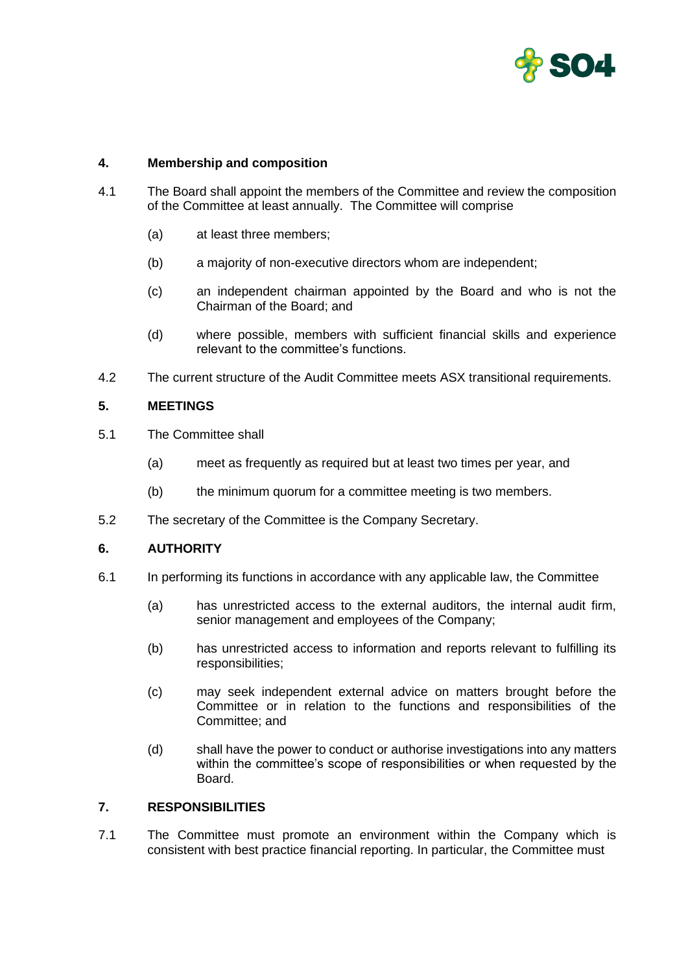

## **4. Membership and composition**

- 4.1 The Board shall appoint the members of the Committee and review the composition of the Committee at least annually. The Committee will comprise
	- (a) at least three members;
	- (b) a majority of non-executive directors whom are independent;
	- (c) an independent chairman appointed by the Board and who is not the Chairman of the Board; and
	- (d) where possible, members with sufficient financial skills and experience relevant to the committee's functions.
- 4.2 The current structure of the Audit Committee meets ASX transitional requirements.

## **5. MEETINGS**

- 5.1 The Committee shall
	- (a) meet as frequently as required but at least two times per year, and
	- (b) the minimum quorum for a committee meeting is two members.
- 5.2 The secretary of the Committee is the Company Secretary.

#### **6. AUTHORITY**

- 6.1 In performing its functions in accordance with any applicable law, the Committee
	- (a) has unrestricted access to the external auditors, the internal audit firm, senior management and employees of the Company;
	- (b) has unrestricted access to information and reports relevant to fulfilling its responsibilities;
	- (c) may seek independent external advice on matters brought before the Committee or in relation to the functions and responsibilities of the Committee; and
	- (d) shall have the power to conduct or authorise investigations into any matters within the committee's scope of responsibilities or when requested by the Board.

# **7. RESPONSIBILITIES**

7.1 The Committee must promote an environment within the Company which is consistent with best practice financial reporting. In particular, the Committee must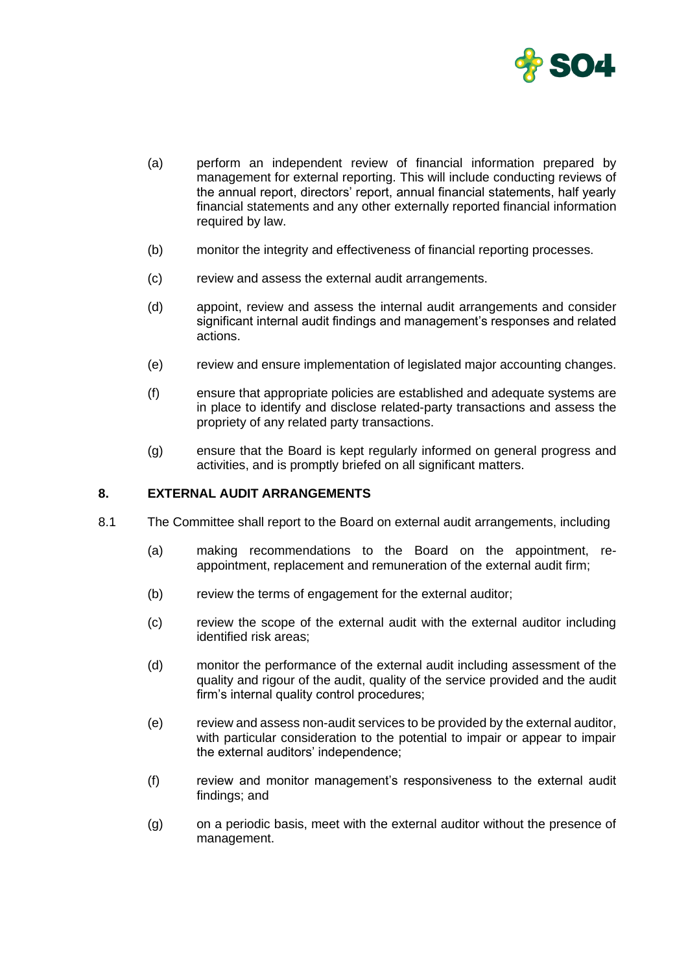

- (a) perform an independent review of financial information prepared by management for external reporting. This will include conducting reviews of the annual report, directors' report, annual financial statements, half yearly financial statements and any other externally reported financial information required by law.
- (b) monitor the integrity and effectiveness of financial reporting processes.
- (c) review and assess the external audit arrangements.
- (d) appoint, review and assess the internal audit arrangements and consider significant internal audit findings and management's responses and related actions.
- (e) review and ensure implementation of legislated major accounting changes.
- (f) ensure that appropriate policies are established and adequate systems are in place to identify and disclose related-party transactions and assess the propriety of any related party transactions.
- (g) ensure that the Board is kept regularly informed on general progress and activities, and is promptly briefed on all significant matters.

#### **8. EXTERNAL AUDIT ARRANGEMENTS**

- 8.1 The Committee shall report to the Board on external audit arrangements, including
	- (a) making recommendations to the Board on the appointment, reappointment, replacement and remuneration of the external audit firm;
	- (b) review the terms of engagement for the external auditor;
	- (c) review the scope of the external audit with the external auditor including identified risk areas;
	- (d) monitor the performance of the external audit including assessment of the quality and rigour of the audit, quality of the service provided and the audit firm's internal quality control procedures;
	- (e) review and assess non-audit services to be provided by the external auditor, with particular consideration to the potential to impair or appear to impair the external auditors' independence;
	- (f) review and monitor management's responsiveness to the external audit findings; and
	- (g) on a periodic basis, meet with the external auditor without the presence of management.